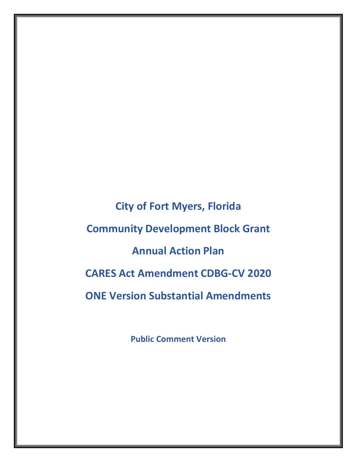**City of Fort Myers, Florida Community Development Block Grant Annual Action Plan CARES Act Amendment CDBG-CV 2020 ONE Version Substantial Amendments**

**Public Comment Version**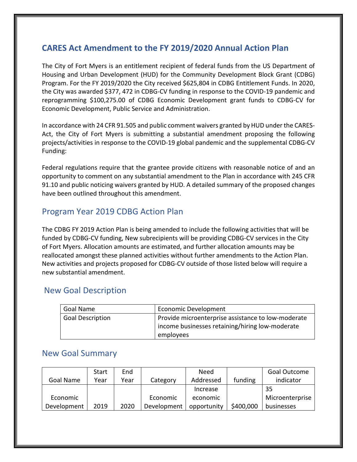# **CARES Act Amendment to the FY 2019/2020 Annual Action Plan**

The City of Fort Myers is an entitlement recipient of federal funds from the US Department of Housing and Urban Development (HUD) for the Community Development Block Grant (CDBG) Program. For the FY 2019/2020 the City received \$625,804 in CDBG Entitlement Funds. In 2020, the City was awarded \$377, 472 in CDBG-CV funding in response to the COVID-19 pandemic and reprogramming \$100,275.00 of CDBG Economic Development grant funds to CDBG-CV for Economic Development, Public Service and Administration.

In accordance with 24 CFR 91.505 and public comment waivers granted by HUD under the CARES-Act, the City of Fort Myers is submitting a substantial amendment proposing the following projects/activities in response to the COVID-19 global pandemic and the supplemental CDBG-CV Funding:

Federal regulations require that the grantee provide citizens with reasonable notice of and an opportunity to comment on any substantial amendment to the Plan in accordance with 245 CFR 91.10 and public noticing waivers granted by HUD. A detailed summary of the proposed changes have been outlined throughout this amendment.

### Program Year 2019 CDBG Action Plan

The CDBG FY 2019 Action Plan is being amended to include the following activities that will be funded by CDBG-CV funding, New subrecipients will be providing CDBG-CV services in the City of Fort Myers. Allocation amounts are estimated, and further allocation amounts may be reallocated amongst these planned activities without further amendments to the Action Plan. New activities and projects proposed for CDBG-CV outside of those listed below will require a new substantial amendment.

#### New Goal Description

| Goal Name        | <b>Economic Development</b>                        |
|------------------|----------------------------------------------------|
| Goal Description | Provide microenterprise assistance to low-moderate |
|                  | income businesses retaining/hiring low-moderate    |
|                  | employees                                          |

#### New Goal Summary

|             | Start | End  |             | Need        |           | Goal Outcome    |
|-------------|-------|------|-------------|-------------|-----------|-----------------|
| Goal Name   | Year  | Year | Category    | Addressed   | funding   | indicator       |
|             |       |      |             | Increase    |           | 35              |
| Economic    |       |      | Economic    | economic    |           | Microenterprise |
| Development | 2019  | 2020 | Development | opportunity | \$400,000 | businesses      |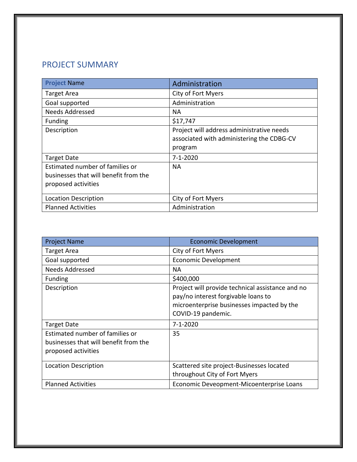# PROJECT SUMMARY

| <b>Project Name</b>                                                                             | Administration                                                                                    |
|-------------------------------------------------------------------------------------------------|---------------------------------------------------------------------------------------------------|
| <b>Target Area</b>                                                                              | City of Fort Myers                                                                                |
| Goal supported                                                                                  | Administration                                                                                    |
| <b>Needs Addressed</b>                                                                          | NА                                                                                                |
| <b>Funding</b>                                                                                  | \$17,747                                                                                          |
| Description                                                                                     | Project will address administrative needs<br>associated with administering the CDBG-CV<br>program |
| <b>Target Date</b>                                                                              | 7-1-2020                                                                                          |
| Estimated number of families or<br>businesses that will benefit from the<br>proposed activities | NА                                                                                                |
| <b>Location Description</b>                                                                     | City of Fort Myers                                                                                |
| <b>Planned Activities</b>                                                                       | Administration                                                                                    |

| <b>Project Name</b>                                                                             | <b>Economic Development</b>                                                                                                                                 |
|-------------------------------------------------------------------------------------------------|-------------------------------------------------------------------------------------------------------------------------------------------------------------|
| <b>Target Area</b>                                                                              | City of Fort Myers                                                                                                                                          |
| Goal supported                                                                                  | <b>Economic Development</b>                                                                                                                                 |
| <b>Needs Addressed</b>                                                                          | <b>NA</b>                                                                                                                                                   |
| <b>Funding</b>                                                                                  | \$400,000                                                                                                                                                   |
| Description                                                                                     | Project will provide technical assistance and no<br>pay/no interest forgivable loans to<br>microenterprise businesses impacted by the<br>COVID-19 pandemic. |
| <b>Target Date</b>                                                                              | $7 - 1 - 2020$                                                                                                                                              |
| Estimated number of families or<br>businesses that will benefit from the<br>proposed activities | 35                                                                                                                                                          |
| <b>Location Description</b>                                                                     | Scattered site project-Businesses located<br>throughout City of Fort Myers                                                                                  |
| <b>Planned Activities</b>                                                                       | Economic Deveopment-Micoenterprise Loans                                                                                                                    |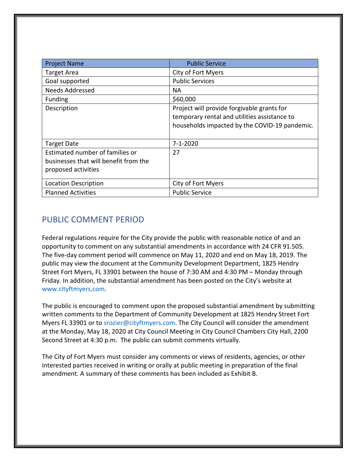| <b>Project Name</b>                                                                             | <b>Public Service</b>                                                                                                                       |
|-------------------------------------------------------------------------------------------------|---------------------------------------------------------------------------------------------------------------------------------------------|
| <b>Target Area</b>                                                                              | City of Fort Myers                                                                                                                          |
| Goal supported                                                                                  | <b>Public Services</b>                                                                                                                      |
| <b>Needs Addressed</b>                                                                          | NА                                                                                                                                          |
| <b>Funding</b>                                                                                  | \$60,000                                                                                                                                    |
| Description                                                                                     | Project will provide forgivable grants for<br>temporary rental and utilities assistance to<br>households impacted by the COVID-19 pandemic. |
| <b>Target Date</b>                                                                              | 7-1-2020                                                                                                                                    |
| Estimated number of families or<br>businesses that will benefit from the<br>proposed activities | 27                                                                                                                                          |
| <b>Location Description</b>                                                                     | City of Fort Myers                                                                                                                          |
| <b>Planned Activities</b>                                                                       | <b>Public Service</b>                                                                                                                       |

## PUBLIC COMMENT PERIOD

Federal regulations require for the City provide the public with reasonable notice of and an opportunity to comment on any substantial amendments in accordance with 24 CFR 91.505. The five-day comment period will commence on May 11, 2020 and end on May 18, 2019. The public may view the document at the Community Development Department, 1825 Hendry Street Fort Myers, FL 33901 between the house of 7:30 AM and 4:30 PM – Monday through Friday. In addition, the substantial amendment has been posted on the City's website at www.cityftmyers,com.

The public is encouraged to comment upon the proposed substantial amendment by submitting written comments to the Department of Community Development at 1825 Hendry Street Fort Myers FL 33901 or to srozier@cityftmyers.com. The City Council will consider the amendment at the Monday, May 18, 2020 at City Council Meeting in City Council Chambers City Hall, 2200 Second Street at 4:30 p.m. The public can submit comments virtually.

The City of Fort Myers must consider any comments or views of residents, agencies, or other interested parties received in writing or orally at public meeting in preparation of the final amendment. A summary of these comments has been included as Exhibit B.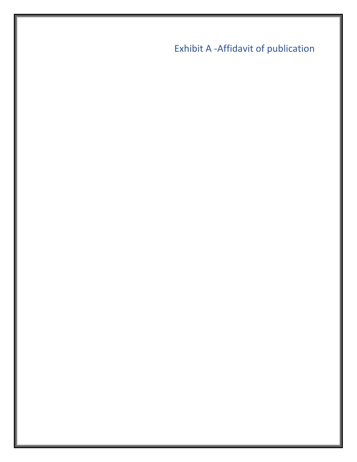Exhibit A -Affidavit of publication